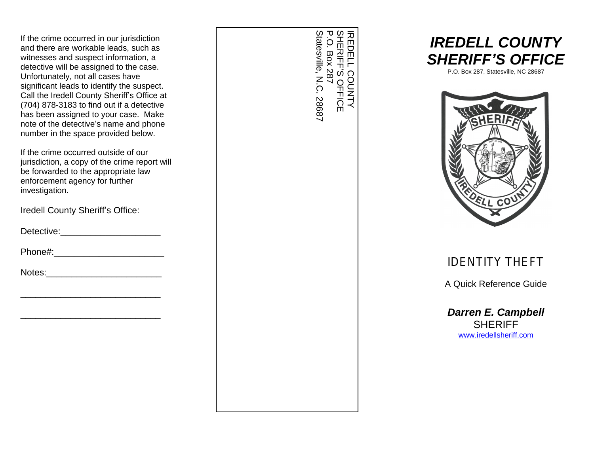If the crime occurred in our jurisdiction and there are workable leads, such as witnesses and suspect information, a detective will be assigned to the case. Unfortunately, not all cases have significant leads to identify the suspect. Call the Iredell County Sheriff's Office at (704) 878-3183 to find out if a detective has been assigned to your case. Make note of the detective's name and phone number in the space provided below.

If the crime occurred outside of our jurisdiction, a copy of the crime report will be forwarded to the appropriate law enforcement agency for further investigation.

Iredell County Sheriff's Office:

\_\_\_\_\_\_\_\_\_\_\_\_\_\_\_\_\_\_\_\_\_\_\_\_\_\_\_\_

\_\_\_\_\_\_\_\_\_\_\_\_\_\_\_\_\_\_\_\_\_\_\_\_\_\_\_\_

Detective:\_\_\_\_\_\_\_\_\_\_\_\_\_\_\_\_\_\_\_\_

Phone#:\_\_\_\_\_\_\_\_\_\_\_\_\_\_\_\_\_\_\_\_\_\_

SHERIFF IREDELL COUNTY IREDELL COUNTY<br>SHERIFF'S OFFICE<br>P.O. Box 287<br>Statesville, N.C. 28687 S OFFICE Statesville, N.C. 28687 P.O. Box 287





IDENTITY THEFT A C

*Darren E. Campbell*

w.iredellsheriff.com